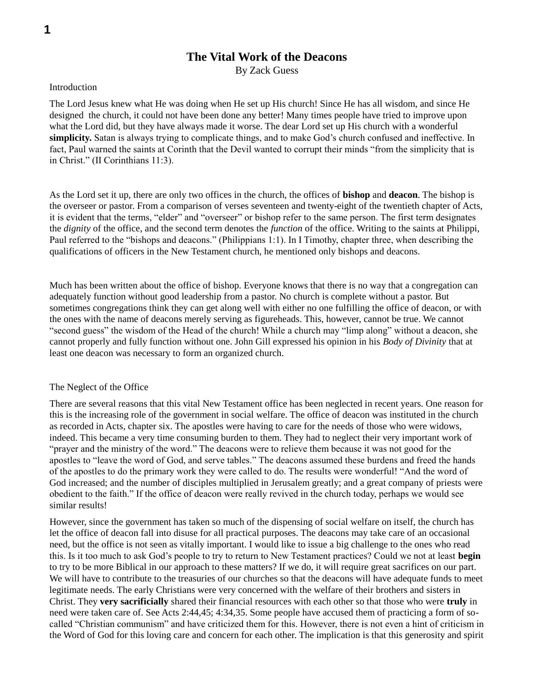# **The Vital Work of the Deacons**

By Zack Guess

# Introduction

The Lord Jesus knew what He was doing when He set up His church! Since He has all wisdom, and since He designed the church, it could not have been done any better! Many times people have tried to improve upon what the Lord did, but they have always made it worse. The dear Lord set up His church with a wonderful **simplicity.** Satan is always trying to complicate things, and to make God's church confused and ineffective. In fact, Paul warned the saints at Corinth that the Devil wanted to corrupt their minds "from the simplicity that is in Christ." (II Corinthians 11:3).

As the Lord set it up, there are only two offices in the church, the offices of **bishop** and **deacon**. The bishop is the overseer or pastor. From a comparison of verses seventeen and twenty-eight of the twentieth chapter of Acts, it is evident that the terms, "elder" and "overseer" or bishop refer to the same person. The first term designates the *dignity* of the office, and the second term denotes the *function* of the office. Writing to the saints at Philippi, Paul referred to the "bishops and deacons." (Philippians 1:1). In I Timothy, chapter three, when describing the qualifications of officers in the New Testament church, he mentioned only bishops and deacons.

Much has been written about the office of bishop. Everyone knows that there is no way that a congregation can adequately function without good leadership from a pastor. No church is complete without a pastor. But sometimes congregations think they can get along well with either no one fulfilling the office of deacon, or with the ones with the name of deacons merely serving as figureheads. This, however, cannot be true. We cannot "second guess" the wisdom of the Head of the church! While a church may "limp along" without a deacon, she cannot properly and fully function without one. John Gill expressed his opinion in his *Body of Divinity* that at least one deacon was necessary to form an organized church.

# The Neglect of the Office

There are several reasons that this vital New Testament office has been neglected in recent years. One reason for this is the increasing role of the government in social welfare. The office of deacon was instituted in the church as recorded in Acts, chapter six. The apostles were having to care for the needs of those who were widows, indeed. This became a very time consuming burden to them. They had to neglect their very important work of "prayer and the ministry of the word." The deacons were to relieve them because it was not good for the apostles to "leave the word of God, and serve tables." The deacons assumed these burdens and freed the hands of the apostles to do the primary work they were called to do. The results were wonderful! "And the word of God increased; and the number of disciples multiplied in Jerusalem greatly; and a great company of priests were obedient to the faith." If the office of deacon were really revived in the church today, perhaps we would see similar results!

However, since the government has taken so much of the dispensing of social welfare on itself, the church has let the office of deacon fall into disuse for all practical purposes. The deacons may take care of an occasional need, but the office is not seen as vitally important. I would like to issue a big challenge to the ones who read this. Is it too much to ask God's people to try to return to New Testament practices? Could we not at least **begin** to try to be more Biblical in our approach to these matters? If we do, it will require great sacrifices on our part. We will have to contribute to the treasuries of our churches so that the deacons will have adequate funds to meet legitimate needs. The early Christians were very concerned with the welfare of their brothers and sisters in Christ. They **very sacrificially** shared their financial resources with each other so that those who were **truly** in need were taken care of. See Acts 2:44,45; 4:34,35. Some people have accused them of practicing a form of socalled "Christian communism" and have criticized them for this. However, there is not even a hint of criticism in the Word of God for this loving care and concern for each other. The implication is that this generosity and spirit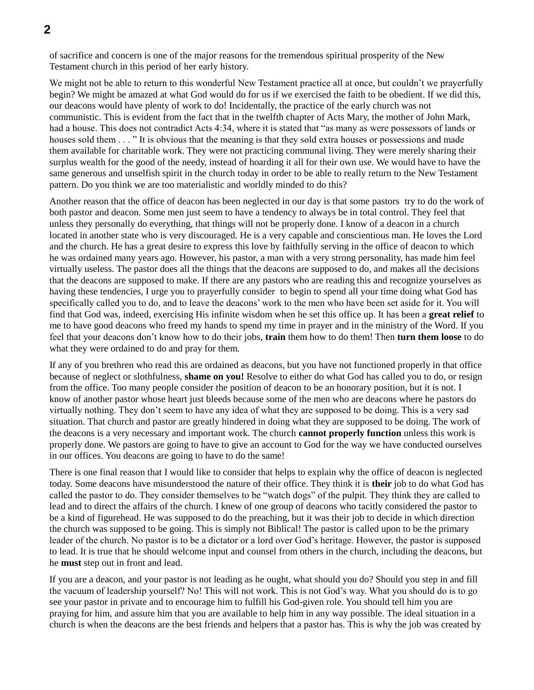of sacrifice and concern is one of the major reasons for the tremendous spiritual prosperity of the New Testament church in this period of her early history.

We might not be able to return to this wonderful New Testament practice all at once, but couldn't we prayerfully begin? We might be amazed at what God would do for us if we exercised the faith to be obedient. If we did this, our deacons would have plenty of work to do! Incidentally, the practice of the early church was not communistic. This is evident from the fact that in the twelfth chapter of Acts Mary, the mother of John Mark, had a house. This does not contradict Acts 4:34, where it is stated that "as many as were possessors of lands or houses sold them . . . " It is obvious that the meaning is that they sold extra houses or possessions and made them available for charitable work. They were not practicing communal living. They were merely sharing their surplus wealth for the good of the needy, instead of hoarding it all for their own use. We would have to have the same generous and unselfish spirit in the church today in order to be able to really return to the New Testament pattern. Do you think we are too materialistic and worldly minded to do this?

Another reason that the office of deacon has been neglected in our day is that some pastors try to do the work of both pastor and deacon. Some men just seem to have a tendency to always be in total control. They feel that unless they personally do everything, that things will not be properly done. I know of a deacon in a church located in another state who is very discouraged. He is a very capable and conscientious man. He loves the Lord and the church. He has a great desire to express this love by faithfully serving in the office of deacon to which he was ordained many years ago. However, his pastor, a man with a very strong personality, has made him feel virtually useless. The pastor does all the things that the deacons are supposed to do, and makes all the decisions that the deacons are supposed to make. If there are any pastors who are reading this and recognize yourselves as having these tendencies, I urge you to prayerfully consider to begin to spend all your time doing what God has specifically called you to do, and to leave the deacons' work to the men who have been set aside for it. You will find that God was, indeed, exercising His infinite wisdom when he set this office up. It has been a **great relief** to me to have good deacons who freed my hands to spend my time in prayer and in the ministry of the Word. If you feel that your deacons don't know how to do their jobs, **train** them how to do them! Then **turn them loose** to do what they were ordained to do and pray for them.

If any of you brethren who read this are ordained as deacons, but you have not functioned properly in that office because of neglect or slothfulness, **shame on you!** Resolve to either do what God has called you to do, or resign from the office. Too many people consider the position of deacon to be an honorary position, but it is not. I know of another pastor whose heart just bleeds because some of the men who are deacons where he pastors do virtually nothing. They don't seem to have any idea of what they are supposed to be doing. This is a very sad situation. That church and pastor are greatly hindered in doing what they are supposed to be doing. The work of the deacons is a very necessary and important work. The church **cannot properly function** unless this work is properly done. We pastors are going to have to give an account to God for the way we have conducted ourselves in our offices. You deacons are going to have to do the same!

There is one final reason that I would like to consider that helps to explain why the office of deacon is neglected today. Some deacons have misunderstood the nature of their office. They think it is **their** job to do what God has called the pastor to do. They consider themselves to be "watch dogs" of the pulpit. They think they are called to lead and to direct the affairs of the church. I knew of one group of deacons who tacitly considered the pastor to be a kind of figurehead. He was supposed to do the preaching, but it was their job to decide in which direction the church was supposed to be going. This is simply not Biblical! The pastor is called upon to be the primary leader of the church. No pastor is to be a dictator or a lord over God's heritage. However, the pastor is supposed to lead. It is true that he should welcome input and counsel from others in the church, including the deacons, but he **must** step out in front and lead.

If you are a deacon, and your pastor is not leading as he ought, what should you do? Should you step in and fill the vacuum of leadership yourself? No! This will not work. This is not God's way. What you should do is to go see your pastor in private and to encourage him to fulfill his God-given role. You should tell him you are praying for him, and assure him that you are available to help him in any way possible. The ideal situation in a church is when the deacons are the best friends and helpers that a pastor has. This is why the job was created by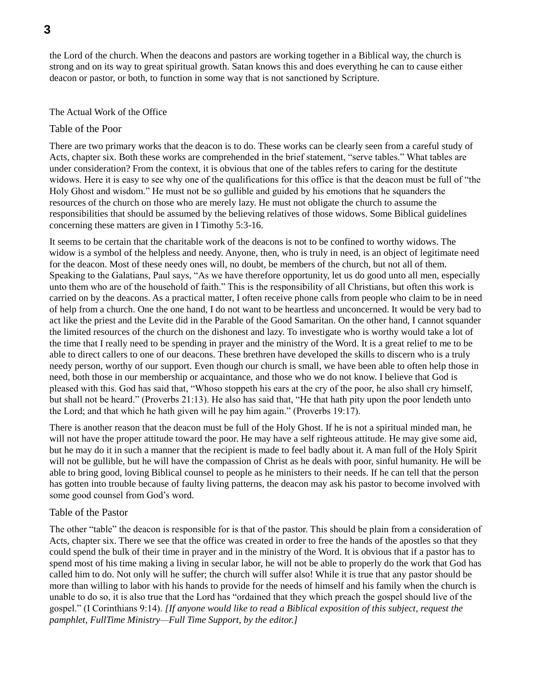the Lord of the church. When the deacons and pastors are working together in a Biblical way, the church is strong and on its way to great spiritual growth. Satan knows this and does everything he can to cause either deacon or pastor, or both, to function in some way that is not sanctioned by Scripture.

#### The Actual Work of the Office

# Table of the Poor

There are two primary works that the deacon is to do. These works can be clearly seen from a careful study of Acts, chapter six. Both these works are comprehended in the brief statement, "serve tables." What tables are under consideration? From the context, it is obvious that one of the tables refers to caring for the destitute widows. Here it is easy to see why one of the qualifications for this office is that the deacon must be full of "the Holy Ghost and wisdom." He must not be so gullible and guided by his emotions that he squanders the resources of the church on those who are merely lazy. He must not obligate the church to assume the responsibilities that should be assumed by the believing relatives of those widows. Some Biblical guidelines concerning these matters are given in I Timothy 5:3-16.

It seems to be certain that the charitable work of the deacons is not to be confined to worthy widows. The widow is a symbol of the helpless and needy. Anyone, then, who is truly in need, is an object of legitimate need for the deacon. Most of these needy ones will, no doubt, be members of the church, but not all of them. Speaking to the Galatians, Paul says, "As we have therefore opportunity, let us do good unto all men, especially unto them who are of the household of faith." This is the responsibility of all Christians, but often this work is carried on by the deacons. As a practical matter, I often receive phone calls from people who claim to be in need of help from a church. One the one hand, I do not want to be heartless and unconcerned. It would be very bad to act like the priest and the Levite did in the Parable of the Good Samaritan. On the other hand, I cannot squander the limited resources of the church on the dishonest and lazy. To investigate who is worthy would take a lot of the time that I really need to be spending in prayer and the ministry of the Word. It is a great relief to me to be able to direct callers to one of our deacons. These brethren have developed the skills to discern who is a truly needy person, worthy of our support. Even though our church is small, we have been able to often help those in need, both those in our membership or acquaintance, and those who we do not know. I believe that God is pleased with this. God has said that, "Whoso stoppeth his ears at the cry of the poor, he also shall cry himself, but shall not be heard." (Proverbs 21:13). He also has said that, "He that hath pity upon the poor lendeth unto the Lord; and that which he hath given will he pay him again." (Proverbs 19:17).

There is another reason that the deacon must be full of the Holy Ghost. If he is not a spiritual minded man, he will not have the proper attitude toward the poor. He may have a self righteous attitude. He may give some aid, but he may do it in such a manner that the recipient is made to feel badly about it. A man full of the Holy Spirit will not be gullible, but he will have the compassion of Christ as he deals with poor, sinful humanity. He will be able to bring good, loving Biblical counsel to people as he ministers to their needs. If he can tell that the person has gotten into trouble because of faulty living patterns, the deacon may ask his pastor to become involved with some good counsel from God's word.

# Table of the Pastor

The other "table" the deacon is responsible for is that of the pastor. This should be plain from a consideration of Acts, chapter six. There we see that the office was created in order to free the hands of the apostles so that they could spend the bulk of their time in prayer and in the ministry of the Word. It is obvious that if a pastor has to spend most of his time making a living in secular labor, he will not be able to properly do the work that God has called him to do. Not only will he suffer; the church will suffer also! While it is true that any pastor should be more than willing to labor with his hands to provide for the needs of himself and his family when the church is unable to do so, it is also true that the Lord has "ordained that they which preach the gospel should live of the gospel." (I Corinthians 9:14). *[If anyone would like to read a Biblical exposition of this subject, request the pamphlet, FullTime Ministry—Full Time Support, by the editor.]*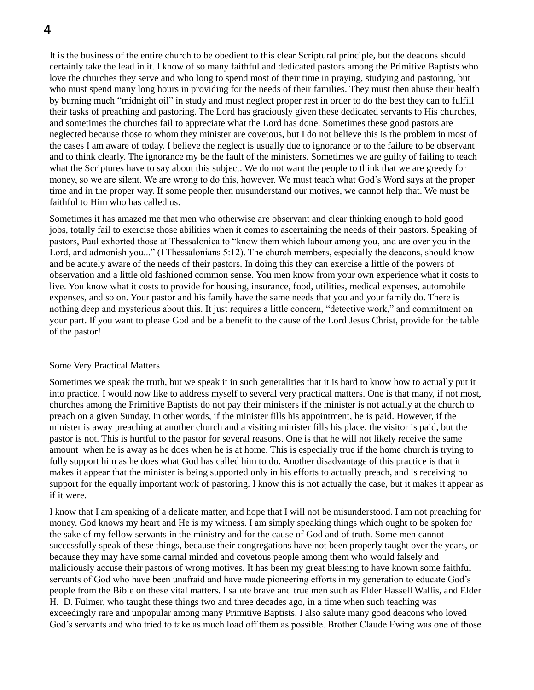It is the business of the entire church to be obedient to this clear Scriptural principle, but the deacons should certainly take the lead in it. I know of so many faithful and dedicated pastors among the Primitive Baptists who love the churches they serve and who long to spend most of their time in praying, studying and pastoring, but who must spend many long hours in providing for the needs of their families. They must then abuse their health by burning much "midnight oil" in study and must neglect proper rest in order to do the best they can to fulfill their tasks of preaching and pastoring. The Lord has graciously given these dedicated servants to His churches, and sometimes the churches fail to appreciate what the Lord has done. Sometimes these good pastors are neglected because those to whom they minister are covetous, but I do not believe this is the problem in most of the cases I am aware of today. I believe the neglect is usually due to ignorance or to the failure to be observant and to think clearly. The ignorance my be the fault of the ministers. Sometimes we are guilty of failing to teach what the Scriptures have to say about this subject. We do not want the people to think that we are greedy for money, so we are silent. We are wrong to do this, however. We must teach what God's Word says at the proper time and in the proper way. If some people then misunderstand our motives, we cannot help that. We must be faithful to Him who has called us.

Sometimes it has amazed me that men who otherwise are observant and clear thinking enough to hold good jobs, totally fail to exercise those abilities when it comes to ascertaining the needs of their pastors. Speaking of pastors, Paul exhorted those at Thessalonica to "know them which labour among you, and are over you in the Lord, and admonish you..." (I Thessalonians 5:12). The church members, especially the deacons, should know and be acutely aware of the needs of their pastors. In doing this they can exercise a little of the powers of observation and a little old fashioned common sense. You men know from your own experience what it costs to live. You know what it costs to provide for housing, insurance, food, utilities, medical expenses, automobile expenses, and so on. Your pastor and his family have the same needs that you and your family do. There is nothing deep and mysterious about this. It just requires a little concern, "detective work," and commitment on your part. If you want to please God and be a benefit to the cause of the Lord Jesus Christ, provide for the table of the pastor!

# Some Very Practical Matters

Sometimes we speak the truth, but we speak it in such generalities that it is hard to know how to actually put it into practice. I would now like to address myself to several very practical matters. One is that many, if not most, churches among the Primitive Baptists do not pay their ministers if the minister is not actually at the church to preach on a given Sunday. In other words, if the minister fills his appointment, he is paid. However, if the minister is away preaching at another church and a visiting minister fills his place, the visitor is paid, but the pastor is not. This is hurtful to the pastor for several reasons. One is that he will not likely receive the same amount when he is away as he does when he is at home. This is especially true if the home church is trying to fully support him as he does what God has called him to do. Another disadvantage of this practice is that it makes it appear that the minister is being supported only in his efforts to actually preach, and is receiving no support for the equally important work of pastoring. I know this is not actually the case, but it makes it appear as if it were.

I know that I am speaking of a delicate matter, and hope that I will not be misunderstood. I am not preaching for money. God knows my heart and He is my witness. I am simply speaking things which ought to be spoken for the sake of my fellow servants in the ministry and for the cause of God and of truth. Some men cannot successfully speak of these things, because their congregations have not been properly taught over the years, or because they may have some carnal minded and covetous people among them who would falsely and maliciously accuse their pastors of wrong motives. It has been my great blessing to have known some faithful servants of God who have been unafraid and have made pioneering efforts in my generation to educate God's people from the Bible on these vital matters. I salute brave and true men such as Elder Hassell Wallis, and Elder H. D. Fulmer, who taught these things two and three decades ago, in a time when such teaching was exceedingly rare and unpopular among many Primitive Baptists. I also salute many good deacons who loved God's servants and who tried to take as much load off them as possible. Brother Claude Ewing was one of those